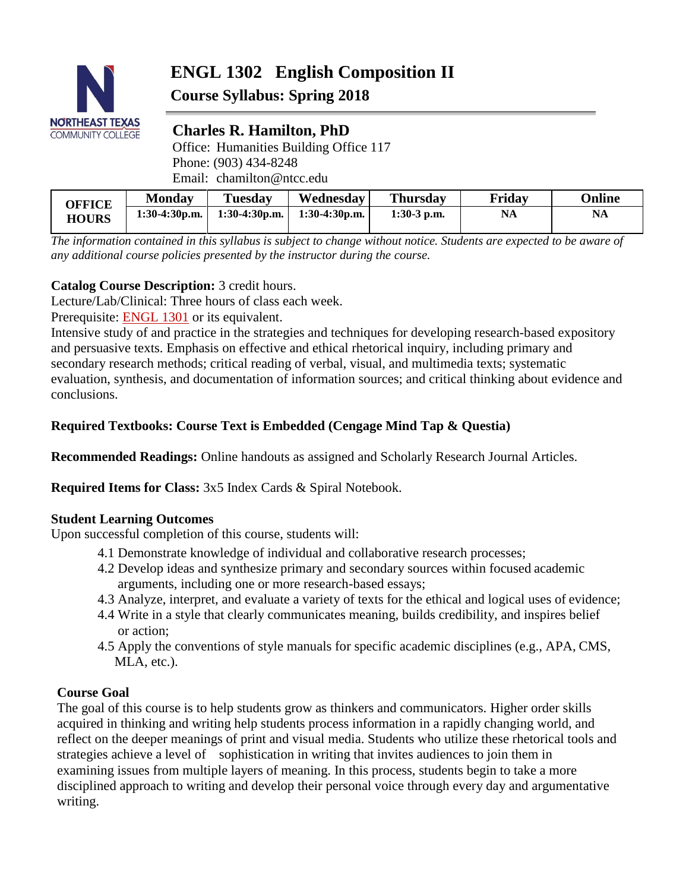

# **ENGL 1302 English Composition II Course Syllabus: Spring 2018**

# **Charles R. Hamilton, PhD**

Office: Humanities Building Office 117 Phone: (903) 434-8248 Email: chamilton@ntcc.edu

| OFFICE<br><b>HOURS</b> | <b>Monday</b>   | <b>Tuesday</b>  | Wednesday       | <b>Thursday</b> | Fridav    | Online |
|------------------------|-----------------|-----------------|-----------------|-----------------|-----------|--------|
|                        | $1:30-4:30p.m.$ | $1:30-4:30p.m.$ | $1:30-4:30p.m.$ | $1:30-3$ p.m.   | <b>NA</b> | NA     |

*The information contained in this syllabus is subject to change without notice. Students are expected to be aware of any additional course policies presented by the instructor during the course.*

# **Catalog Course Description:** 3 credit hours.

Lecture/Lab/Clinical: Three hours of class each week.

Prerequisite: [ENGL 1301](http://catalog.ntcc.edu/content.php?filter%5B27%5D=ENGL&filter%5B29%5D=1302&filter%5Bcourse_type%5D=-1&filter%5Bkeyword%5D&filter%5B32%5D=1&filter%5Bcpage%5D=1&cur_cat_oid=7&expand&navoid=964&search_database=Filter&tt2275) or its equivalent.

Intensive study of and practice in the strategies and techniques for developing research-based expository and persuasive texts. Emphasis on effective and ethical rhetorical inquiry, including primary and secondary research methods; critical reading of verbal, visual, and multimedia texts; systematic evaluation, synthesis, and documentation of information sources; and critical thinking about evidence and conclusions.

# **Required Textbooks: Course Text is Embedded (Cengage Mind Tap & Questia)**

**Recommended Readings:** Online handouts as assigned and Scholarly Research Journal Articles.

**Required Items for Class:** 3x5 Index Cards & Spiral Notebook.

# **Student Learning Outcomes**

Upon successful completion of this course, students will:

- 4.1 Demonstrate knowledge of individual and collaborative research processes;
- 4.2 Develop ideas and synthesize primary and secondary sources within focused academic arguments, including one or more research-based essays;
- 4.3 Analyze, interpret, and evaluate a variety of texts for the ethical and logical uses of evidence;
- 4.4 Write in a style that clearly communicates meaning, builds credibility, and inspires belief or action;
- 4.5 Apply the conventions of style manuals for specific academic disciplines (e.g., APA, CMS, MLA, etc.).

# **Course Goal**

The goal of this course is to help students grow as thinkers and communicators. Higher order skills acquired in thinking and writing help students process information in a rapidly changing world, and reflect on the deeper meanings of print and visual media. Students who utilize these rhetorical tools and strategies achieve a level of sophistication in writing that invites audiences to join them in examining issues from multiple layers of meaning. In this process, students begin to take a more disciplined approach to writing and develop their personal voice through every day and argumentative writing.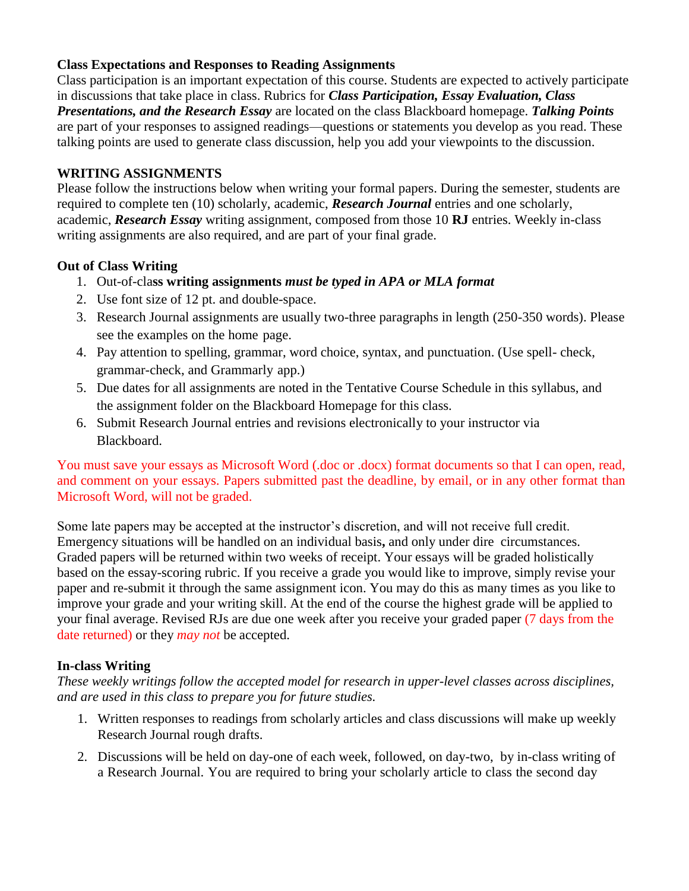# **Class Expectations and Responses to Reading Assignments**

Class participation is an important expectation of this course. Students are expected to actively participate in discussions that take place in class. Rubrics for *Class Participation, Essay Evaluation, Class Presentations, and the Research Essay* are located on the class Blackboard homepage. *Talking Points*  are part of your responses to assigned readings—questions or statements you develop as you read. These talking points are used to generate class discussion, help you add your viewpoints to the discussion.

# **WRITING ASSIGNMENTS**

Please follow the instructions below when writing your formal papers. During the semester, students are required to complete ten (10) scholarly, academic, *Research Journal* entries and one scholarly, academic, *Research Essay* writing assignment, composed from those 10 **RJ** entries. Weekly in-class writing assignments are also required, and are part of your final grade.

# **Out of Class Writing**

- 1. Out-of-cla**ss writing assignments** *must be typed in APA or MLA format*
- 2. Use font size of 12 pt. and double-space.
- 3. Research Journal assignments are usually two-three paragraphs in length (250-350 words). Please see the examples on the home page.
- 4. Pay attention to spelling, grammar, word choice, syntax, and punctuation. (Use spell- check, grammar-check, and Grammarly app.)
- 5. Due dates for all assignments are noted in the Tentative Course Schedule in this syllabus, and the assignment folder on the Blackboard Homepage for this class.
- 6. Submit Research Journal entries and revisions electronically to your instructor via Blackboard.

You must save your essays as Microsoft Word (.doc or .docx) format documents so that I can open, read, and comment on your essays. Papers submitted past the deadline, by email, or in any other format than Microsoft Word, will not be graded.

Some late papers may be accepted at the instructor's discretion, and will not receive full credit. Emergency situations will be handled on an individual basis**,** and only under dire circumstances. Graded papers will be returned within two weeks of receipt. Your essays will be graded holistically based on the essay-scoring rubric. If you receive a grade you would like to improve, simply revise your paper and re-submit it through the same assignment icon. You may do this as many times as you like to improve your grade and your writing skill. At the end of the course the highest grade will be applied to your final average. Revised RJs are due one week after you receive your graded paper (7 days from the date returned) or they *may not* be accepted.

# **In-class Writing**

*These weekly writings follow the accepted model for research in upper-level classes across disciplines, and are used in this class to prepare you for future studies.*

- 1. Written responses to readings from scholarly articles and class discussions will make up weekly Research Journal rough drafts.
- 2. Discussions will be held on day-one of each week, followed, on day-two, by in-class writing of a Research Journal. You are required to bring your scholarly article to class the second day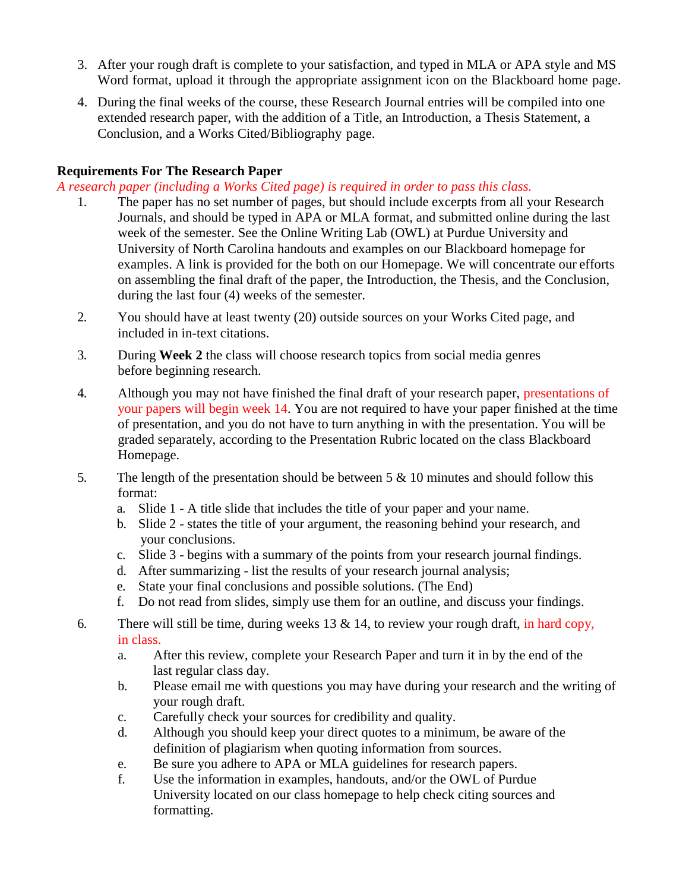- 3. After your rough draft is complete to your satisfaction, and typed in MLA or APA style and MS Word format, upload it through the appropriate assignment icon on the Blackboard home page.
- 4. During the final weeks of the course, these Research Journal entries will be compiled into one extended research paper, with the addition of a Title, an Introduction, a Thesis Statement, a Conclusion, and a Works Cited/Bibliography page.

# **Requirements For The Research Paper**

*A research paper (including a Works Cited page) is required in order to pass this class.*

- 1. The paper has no set number of pages, but should include excerpts from all your Research Journals, and should be typed in APA or MLA format, and submitted online during the last week of the semester. See the Online Writing Lab (OWL) at Purdue University and University of North Carolina handouts and examples on our Blackboard homepage for examples. A link is provided for the both on our Homepage. We will concentrate our efforts on assembling the final draft of the paper, the Introduction, the Thesis, and the Conclusion, during the last four (4) weeks of the semester.
- 2. You should have at least twenty (20) outside sources on your Works Cited page, and included in in-text citations.
- 3. During **Week 2** the class will choose research topics from social media genres before beginning research.
- 4. Although you may not have finished the final draft of your research paper, presentations of your papers will begin week 14. You are not required to have your paper finished at the time of presentation, and you do not have to turn anything in with the presentation. You will be graded separately, according to the Presentation Rubric located on the class Blackboard Homepage.
- 5. The length of the presentation should be between 5 & 10 minutes and should follow this format:
	- a. Slide 1 A title slide that includes the title of your paper and your name.
	- b. Slide 2 states the title of your argument, the reasoning behind your research, and your conclusions.
	- c. Slide 3 begins with a summary of the points from your research journal findings.
	- d. After summarizing list the results of your research journal analysis;
	- e. State your final conclusions and possible solutions. (The End)
	- f. Do not read from slides, simply use them for an outline, and discuss your findings.
- 6. There will still be time, during weeks 13  $\&$  14, to review your rough draft, in hard copy, in class.
	- a. After this review, complete your Research Paper and turn it in by the end of the last regular class day.
	- b. Please email me with questions you may have during your research and the writing of your rough draft.
	- c. Carefully check your sources for credibility and quality.
	- d. Although you should keep your direct quotes to a minimum, be aware of the definition of plagiarism when quoting information from sources.
	- e. Be sure you adhere to APA or MLA guidelines for research papers.
	- f. Use the information in examples, handouts, and/or the OWL of Purdue University located on our class homepage to help check citing sources and formatting.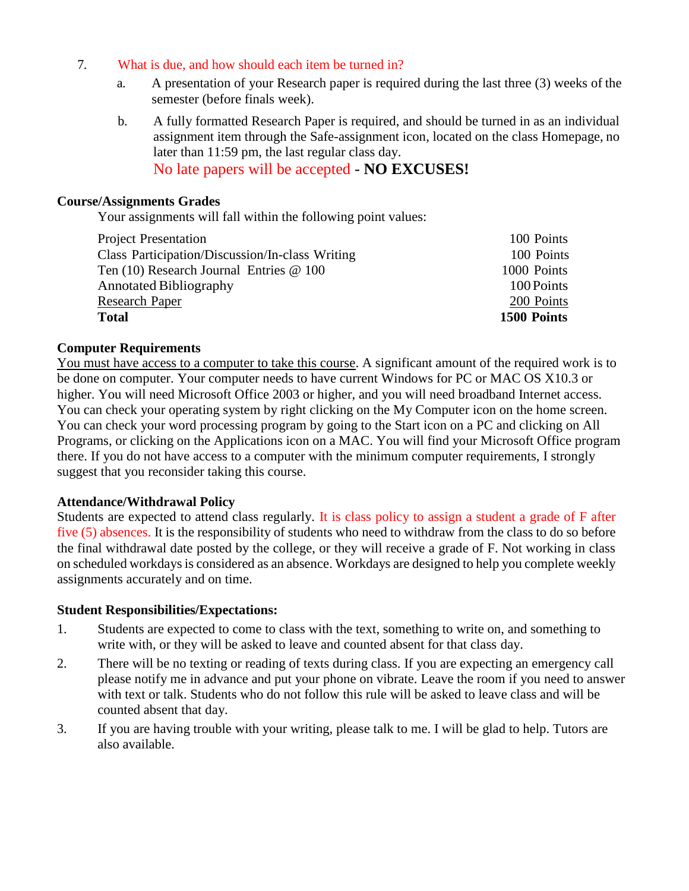- 7. What is due, and how should each item be turned in?
	- a. A presentation of your Research paper is required during the last three (3) weeks of the semester (before finals week).
	- b. A fully formatted Research Paper is required, and should be turned in as an individual assignment item through the Safe-assignment icon, located on the class Homepage, no later than 11:59 pm, the last regular class day. No late papers will be accepted - **NO EXCUSES!**

#### **Course/Assignments Grades**

Your assignments will fall within the following point values:

| <b>Project Presentation</b>                     | 100 Points  |
|-------------------------------------------------|-------------|
| Class Participation/Discussion/In-class Writing | 100 Points  |
| Ten $(10)$ Research Journal Entries $@$ 100     | 1000 Points |
| <b>Annotated Bibliography</b>                   | 100 Points  |
| Research Paper                                  | 200 Points  |
| <b>Total</b>                                    | 1500 Points |

#### **Computer Requirements**

You must have access to a computer to take this course. A significant amount of the required work is to be done on computer. Your computer needs to have current Windows for PC or MAC OS X10.3 or higher. You will need Microsoft Office 2003 or higher, and you will need broadband Internet access. You can check your operating system by right clicking on the My Computer icon on the home screen. You can check your word processing program by going to the Start icon on a PC and clicking on All Programs, or clicking on the Applications icon on a MAC. You will find your Microsoft Office program there. If you do not have access to a computer with the minimum computer requirements, I strongly suggest that you reconsider taking this course.

#### **Attendance/Withdrawal Policy**

Students are expected to attend class regularly. It is class policy to assign a student a grade of F after five (5) absences. It is the responsibility of students who need to withdraw from the class to do so before the final withdrawal date posted by the college, or they will receive a grade of F. Not working in class on scheduled workdays is considered as an absence. Workdays are designed to help you complete weekly assignments accurately and on time.

#### **Student Responsibilities/Expectations:**

- 1. Students are expected to come to class with the text, something to write on, and something to write with, or they will be asked to leave and counted absent for that class day.
- 2. There will be no texting or reading of texts during class. If you are expecting an emergency call please notify me in advance and put your phone on vibrate. Leave the room if you need to answer with text or talk. Students who do not follow this rule will be asked to leave class and will be counted absent that day.
- 3. If you are having trouble with your writing, please talk to me. I will be glad to help. Tutors are also available.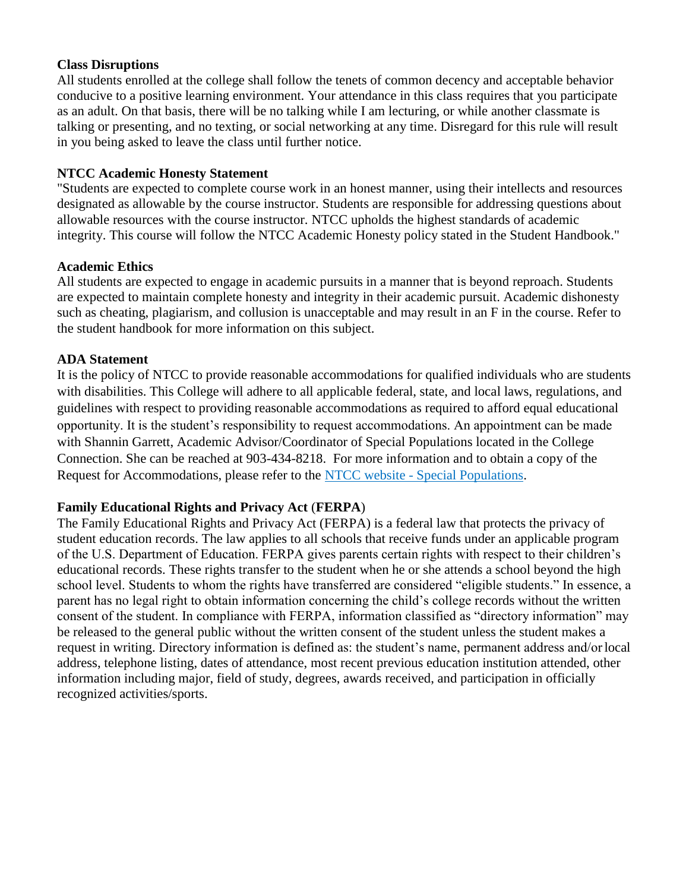#### **Class Disruptions**

All students enrolled at the college shall follow the tenets of common decency and acceptable behavior conducive to a positive learning environment. Your attendance in this class requires that you participate as an adult. On that basis, there will be no talking while I am lecturing, or while another classmate is talking or presenting, and no texting, or social networking at any time. Disregard for this rule will result in you being asked to leave the class until further notice.

### **NTCC Academic Honesty Statement**

"Students are expected to complete course work in an honest manner, using their intellects and resources designated as allowable by the course instructor. Students are responsible for addressing questions about allowable resources with the course instructor. NTCC upholds the highest standards of academic integrity. This course will follow the NTCC Academic Honesty policy stated in the Student Handbook."

#### **Academic Ethics**

All students are expected to engage in academic pursuits in a manner that is beyond reproach. Students are expected to maintain complete honesty and integrity in their academic pursuit. Academic dishonesty such as cheating, plagiarism, and collusion is unacceptable and may result in an F in the course. Refer to the student handbook for more information on this subject.

#### **ADA Statement**

It is the policy of NTCC to provide reasonable accommodations for qualified individuals who are students with disabilities. This College will adhere to all applicable federal, state, and local laws, regulations, and guidelines with respect to providing reasonable accommodations as required to afford equal educational opportunity. It is the student's responsibility to request accommodations. An appointment can be made with Shannin Garrett, Academic Advisor/Coordinator of Special Populations located in the College Connection. She can be reached at 903-434-8218. For more information and to obtain a copy of the Request for Accommodations, please refer to the [NTCC website -](http://www.ntcc.edu/index.php?module=Pagesetter&func=viewpub&tid=111&pid=1) Special Populations.

# **Family Educational Rights and Privacy Act** (**FERPA**)

The Family Educational Rights and Privacy Act (FERPA) is a federal law that protects the privacy of student education records. The law applies to all schools that receive funds under an applicable program of the U.S. Department of Education. FERPA gives parents certain rights with respect to their children's educational records. These rights transfer to the student when he or she attends a school beyond the high school level. Students to whom the rights have transferred are considered "eligible students." In essence, a parent has no legal right to obtain information concerning the child's college records without the written consent of the student. In compliance with FERPA, information classified as "directory information" may be released to the general public without the written consent of the student unless the student makes a request in writing. Directory information is defined as: the student's name, permanent address and/orlocal address, telephone listing, dates of attendance, most recent previous education institution attended, other information including major, field of study, degrees, awards received, and participation in officially recognized activities/sports.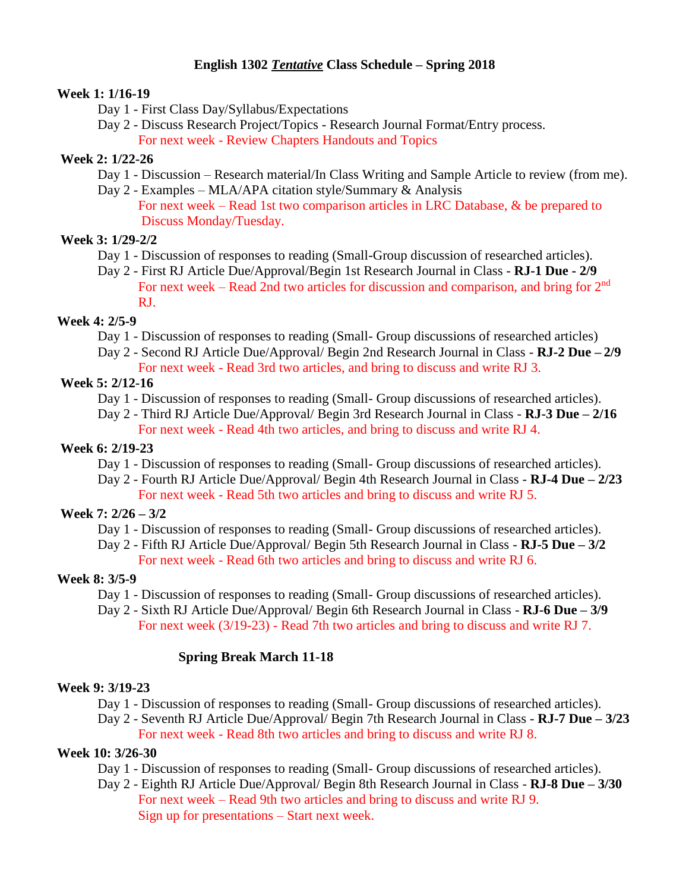# **English 1302** *Tentative* **Class Schedule – Spring 2018**

#### **Week 1: 1/16-19**

- Day 1 First Class Day/Syllabus/Expectations
- Day 2 Discuss Research Project/Topics Research Journal Format/Entry process. For next week - Review Chapters Handouts and Topics

# **Week 2: 1/22-26**

- Day 1 Discussion Research material/In Class Writing and Sample Article to review (from me).
- Day 2 Examples MLA/APA citation style/Summary & Analysis For next week – Read 1st two comparison articles in LRC Database, & be prepared to Discuss Monday/Tuesday.

# **Week 3: 1/29-2/2**

- Day 1 Discussion of responses to reading (Small-Group discussion of researched articles).
- Day 2 First RJ Article Due/Approval/Begin 1st Research Journal in Class **RJ-1 Due - 2/9** For next week – Read 2nd two articles for discussion and comparison, and bring for 2<sup>nd</sup> RJ.

# **Week 4: 2/5-9**

- Day 1 Discussion of responses to reading (Small- Group discussions of researched articles)
- Day 2 Second RJ Article Due/Approval/ Begin 2nd Research Journal in Class **RJ-2 Due – 2/9** For next week - Read 3rd two articles, and bring to discuss and write RJ 3.

# **Week 5: 2/12-16**

- Day 1 Discussion of responses to reading (Small- Group discussions of researched articles).
- Day 2 Third RJ Article Due/Approval/ Begin 3rd Research Journal in Class **RJ-3 Due – 2/16** For next week - Read 4th two articles, and bring to discuss and write RJ 4.

# **Week 6: 2/19-23**

- Day 1 Discussion of responses to reading (Small- Group discussions of researched articles).
- Day 2 Fourth RJ Article Due/Approval/ Begin 4th Research Journal in Class **RJ-4 Due – 2/23** For next week - Read 5th two articles and bring to discuss and write RJ 5.

# **Week 7: 2/26 – 3/2**

- Day 1 Discussion of responses to reading (Small- Group discussions of researched articles).
- Day 2 Fifth RJ Article Due/Approval/ Begin 5th Research Journal in Class **RJ-5 Due – 3/2** For next week - Read 6th two articles and bring to discuss and write RJ 6.

# **Week 8: 3/5-9**

- Day 1 Discussion of responses to reading (Small- Group discussions of researched articles).
- Day 2 Sixth RJ Article Due/Approval/ Begin 6th Research Journal in Class **RJ-6 Due – 3/9**
	- For next week (3/19-23) Read 7th two articles and bring to discuss and write RJ 7.

# **Spring Break March 11-18**

# **Week 9: 3/19-23**

- Day 1 Discussion of responses to reading (Small- Group discussions of researched articles).
- Day 2 Seventh RJ Article Due/Approval/ Begin 7th Research Journal in Class **RJ-7 Due – 3/23** For next week - Read 8th two articles and bring to discuss and write RJ 8.

# **Week 10: 3/26-30**

- Day 1 Discussion of responses to reading (Small- Group discussions of researched articles).
- Day 2 Eighth RJ Article Due/Approval/ Begin 8th Research Journal in Class **RJ-8 Due – 3/30** For next week – Read 9th two articles and bring to discuss and write RJ 9. Sign up for presentations – Start next week.